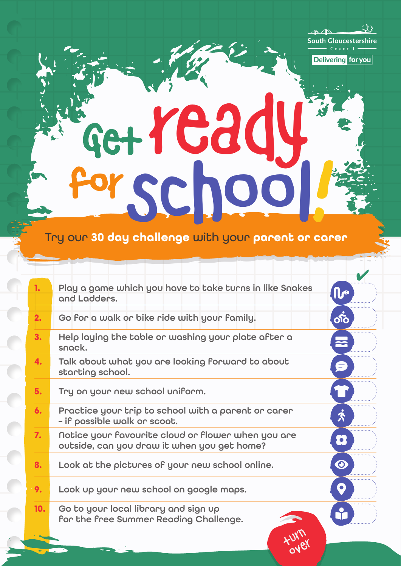## Get ready forschool!

 $\mathbf{3}$ 

\_\_

**South Gloucestershire** 

**Delivering** for you

Try our **30 day challenge** with your **parent or carer**

| Go for a walk or bike ride with your family.<br>2.                                                      | တ်ဝ                                |
|---------------------------------------------------------------------------------------------------------|------------------------------------|
|                                                                                                         |                                    |
| Help laying the table or washing your plate after a<br>3.<br>snack.                                     |                                    |
| Talk about what you are looking forward to about<br>4.<br>starting school.                              | $\equiv$                           |
| 5.<br>Try on your new school uniform.                                                                   |                                    |
| Practice your trip to school with a parent or carer<br>6.<br>- if possible walk or scoot.               | $\boldsymbol{\dot{\mathbf{\chi}}}$ |
| Notice your favourite cloud or flower when you are<br>7.<br>outside, can you draw it when you get home? | $\bullet$                          |
| 8.<br>Look at the pictures of your new school online.                                                   | $\odot$                            |
| Look up your new school on google maps.<br>9.                                                           |                                    |
| 10.<br>Go to your local library and sign up<br>For the free Summer Reading Challenge.                   |                                    |
|                                                                                                         |                                    |